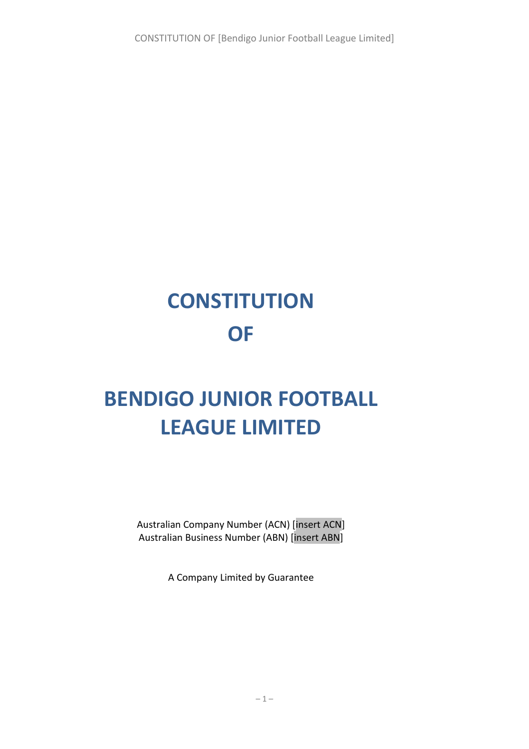CONSTITUTION OF [Bendigo Junior Football League Limited]

# **CONSTITUTION OF**

## **BENDIGO JUNIOR FOOTBALL LEAGUE LIMITED**

Australian Company Number (ACN) [insert ACN] Australian Business Number (ABN) [insert ABN]

A Company Limited by Guarantee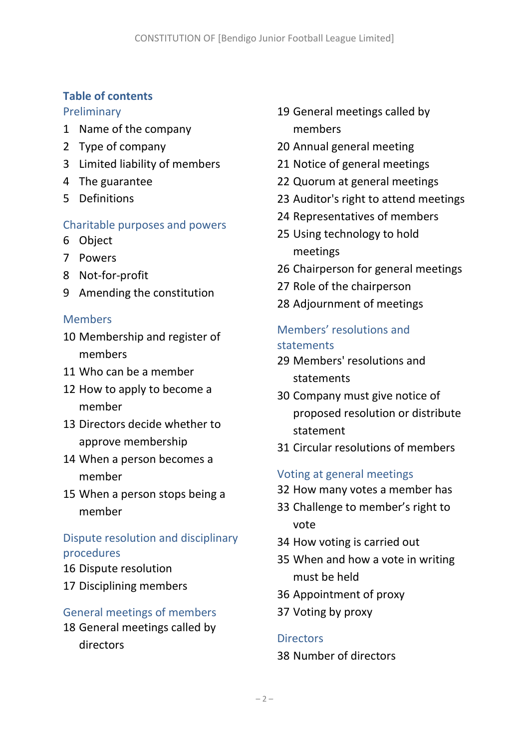## **Table of contents**

#### **Preliminary**

- 1 Name of the company
- 2 Type of company
- 3 Limited liability of members
- 4 The guarantee
- 5 Definitions

## Charitable purposes and powers

- <span id="page-1-2"></span>6 Object
- 7 Powers
- 8 Not-for-profit
- 9 Amending the constitution

## Members

- 10 Membership and register of members
- 11 Who can be a member
- 12 How to apply to become a member
- 13 Directors decide whether to approve membership
- 14 When a person becomes a member
- 15 When a person stops being a member

## Dispute resolution and disciplinary procedures

- 16 Dispute resolution
- <span id="page-1-0"></span>17 Disciplining members

## General meetings of members

18 General meetings called by directors

- 19 General meetings called by members
- 20 Annual general meeting
- 21 Notice of general meetings
- 22 Quorum at general meetings
- 23 Auditor's right to attend meetings
- 24 Representatives of members
- 25 Using technology to hold meetings
- 26 Chairperson for general meetings
- 27 Role of the chairperson
- 28 Adjournment of meetings

## Members' resolutions and statements

- <span id="page-1-1"></span>29 Members' resolutions and statements
- <span id="page-1-3"></span>30 Company must give notice of proposed resolution or distribute statement
- 31 Circular resolutions of members

## Voting at general meetings

- 32 How many votes a member has
- 33 Challenge to member's right to vote
- 34 How voting is carried out
- 35 When and how a vote in writing must be held
- 36 Appointment of proxy
- 37 Voting by proxy

## **Directors**

38 Number of directors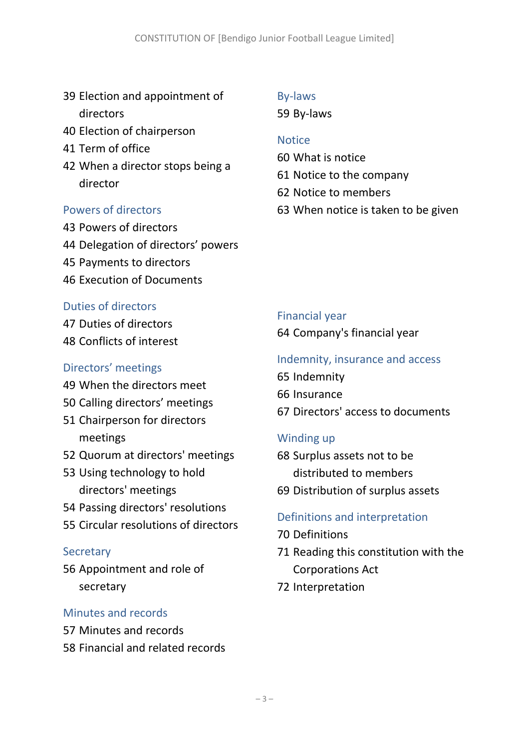- <span id="page-2-0"></span> Election and appointment of directors
- Election of chairperson
- Term of office
- When a director stops being a director

## Powers of directors

- Powers of directors
- <span id="page-2-1"></span>Delegation of directors' powers
- Payments to directors
- Execution of Documents

## Duties of directors

- Duties of directors
- Conflicts of interest

## Directors' meetings

- When the directors meet
- Calling directors' meetings
- Chairperson for directors meetings
- Quorum at directors' meetings
- Using technology to hold directors' meetings
- Passing directors' resolutions
- Circular resolutions of directors

## **Secretary**

 Appointment and role of secretary

## Minutes and records

- Minutes and records
- Financial and related records

## By-laws

## By-laws

## **Notice**

- What is notice
- Notice to the company
- Notice to members
- When notice is taken to be given

## Financial year

Company's financial year

## Indemnity, insurance and access

- Indemnity
- Insurance
- Directors' access to documents

## Winding up

- Surplus assets not to be distributed to members
- Distribution of surplus assets

## Definitions and interpretation

- Definitions
- Reading this constitution with the Corporations Act
- Interpretation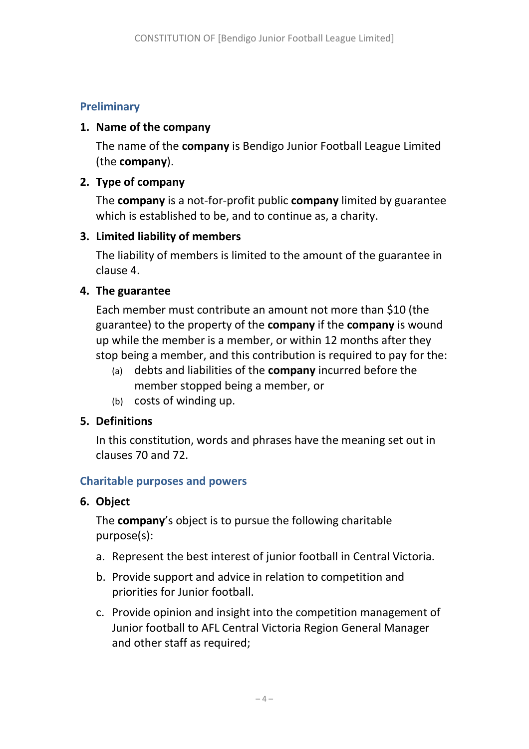## **Preliminary**

#### <span id="page-3-1"></span>**1. Name of the company**

The name of the **company** is Bendigo Junior Football League Limited (the **company**).

## **2. Type of company**

The **company** is a not-for-profit public **company** limited by guarantee which is established to be, and to continue as, a charity.

#### **3. Limited liability of members**

The liability of members is limited to the amount of the guarantee in clause [4.](#page-3-0)

#### <span id="page-3-0"></span>**4. The guarantee**

Each member must contribute an amount not more than \$10 (the guarantee) to the property of the **company** if the **company** is wound up while the member is a member, or within 12 months after they stop being a member, and this contribution is required to pay for the:

- (a) debts and liabilities of the **company** incurred before the member stopped being a member, or
- (b) costs of winding up.

## **5. Definitions**

In this constitution, words and phrases have the meaning set out in clauses [70](#page-30-0) and [72.](#page-31-0)

## **Charitable purposes and powers**

## **6. Object**

The **company**'s object is to pursue the following charitable purpose(s):

- a. Represent the best interest of junior football in Central Victoria.
- b. Provide support and advice in relation to competition and priorities for Junior football.
- c. Provide opinion and insight into the competition management of Junior football to AFL Central Victoria Region General Manager and other staff as required;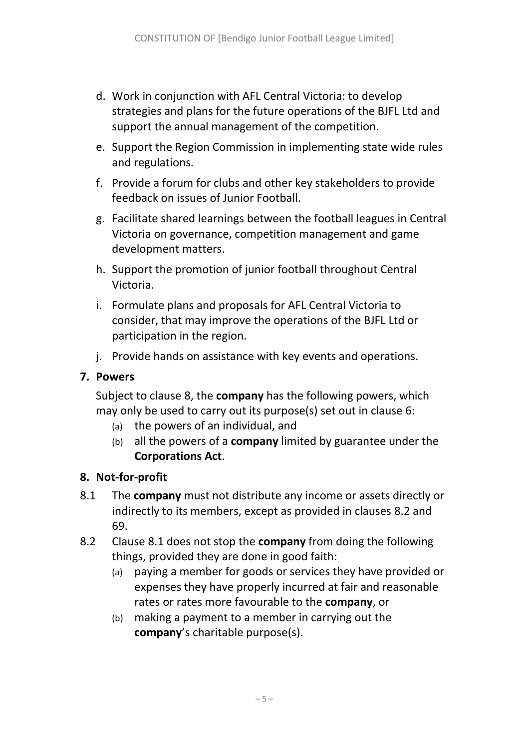- d. Work in conjunction with AFL Central Victoria: to develop strategies and plans for the future operations of the BJFL Ltd and support the annual management of the competition.
- e. Support the Region Commission in implementing state wide rules and regulations.
- f. Provide a forum for clubs and other key stakeholders to provide feedback on issues of Junior Football.
- g. Facilitate shared learnings between the football leagues in Central Victoria on governance, competition management and game development matters.
- h. Support the promotion of junior football throughout Central Victoria.
- i. Formulate plans and proposals for AFL Central Victoria to consider, that may improve the operations of the BJFL Ltd or participation in the region.
- j. Provide hands on assistance with key events and operations.

## **7. Powers**

Subject to clause [8,](#page-4-0) the **company** has the following powers, which may only be used to carry out its purpose(s) set out in clause 6:

- (a) the powers of an individual, and
- (b) all the powers of a **company** limited by guarantee under the **Corporations Act**.

## <span id="page-4-0"></span>**8. Not-for-profit**

- <span id="page-4-2"></span>8.1 The **company** must not distribute any income or assets directly or indirectly to its members, except as provided in clauses [8.2](#page-4-1) and [69.](#page-29-0)
- <span id="page-4-1"></span>8.2 Clause [8.1](#page-4-2) does not stop the **company** from doing the following things, provided they are done in good faith:
	- (a) paying a member for goods or services they have provided or expenses they have properly incurred at fair and reasonable rates or rates more favourable to the **company**, or
	- (b) making a payment to a member in carrying out the **company**'s charitable purpose(s).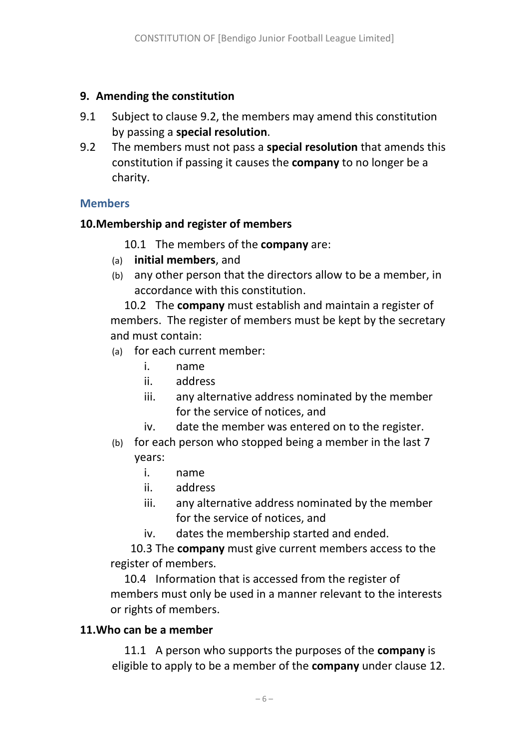#### **9. Amending the constitution**

- 9.1 Subject to clause [9.2,](#page-5-0) the members may amend this constitution by passing a **special resolution**.
- <span id="page-5-0"></span>9.2 The members must not pass a **special resolution** that amends this constitution if passing it causes the **company** to no longer be a charity.

#### **Members**

## **10.Membership and register of members**

- 10.1 The members of the **company** are:
- (a) **initial members**, and
- (b) any other person that the directors allow to be a member, in accordance with this constitution.

10.2 The **company** must establish and maintain a register of members. The register of members must be kept by the secretary and must contain:

- (a) for each current member:
	- i. name
	- ii. address
	- iii. any alternative address nominated by the member for the service of notices, and
	- iv. date the member was entered on to the register.
- (b) for each person who stopped being a member in the last 7 years:
	- i. name
	- ii. address
	- iii. any alternative address nominated by the member for the service of notices, and
	- iv. dates the membership started and ended.

10.3 The **company** must give current members access to the register of members.

10.4 Information that is accessed from the register of members must only be used in a manner relevant to the interests or rights of members.

#### **11.Who can be a member**

11.1 A person who supports the purposes of the **company** is eligible to apply to be a member of the **company** under clause [12.](#page-6-0)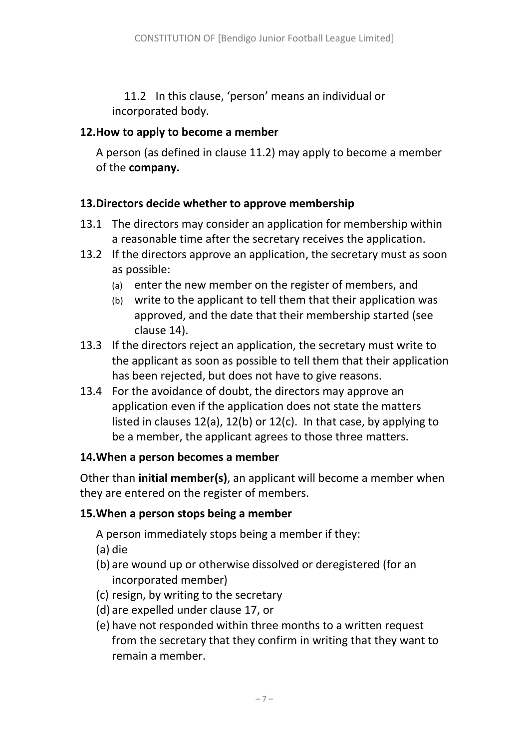11.2 In this clause, 'person' means an individual or incorporated body.

## <span id="page-6-0"></span>**12.How to apply to become a member**

A person (as defined in clause 11.2) may apply to become a member of the **company.**

## **13.Directors decide whether to approve membership**

- 13.1 The directors may consider an application for membership within a reasonable time after the secretary receives the application.
- 13.2 If the directors approve an application, the secretary must as soon as possible:
	- (a) enter the new member on the register of members, and
	- (b) write to the applicant to tell them that their application was approved, and the date that their membership started (see clause [14\)](#page-6-1).
- 13.3 If the directors reject an application, the secretary must write to the applicant as soon as possible to tell them that their application has been rejected, but does not have to give reasons.
- 13.4 For the avoidance of doubt, the directors may approve an application even if the application does not state the matters listed in clauses 12(a), 12(b) or 12(c). In that case, by applying to be a member, the applicant agrees to those three matters.

## <span id="page-6-1"></span>**14.When a person becomes a member**

Other than **initial member(s)**, an applicant will become a member when they are entered on the register of members.

## **15.When a person stops being a member**

A person immediately stops being a member if they:

- (a) die
- (b) are wound up or otherwise dissolved or deregistered (for an incorporated member)
- (c) resign, by writing to the secretary
- (d) are expelled under clause [17,](#page-1-0) or
- (e) have not responded within three months to a written request from the secretary that they confirm in writing that they want to remain a member.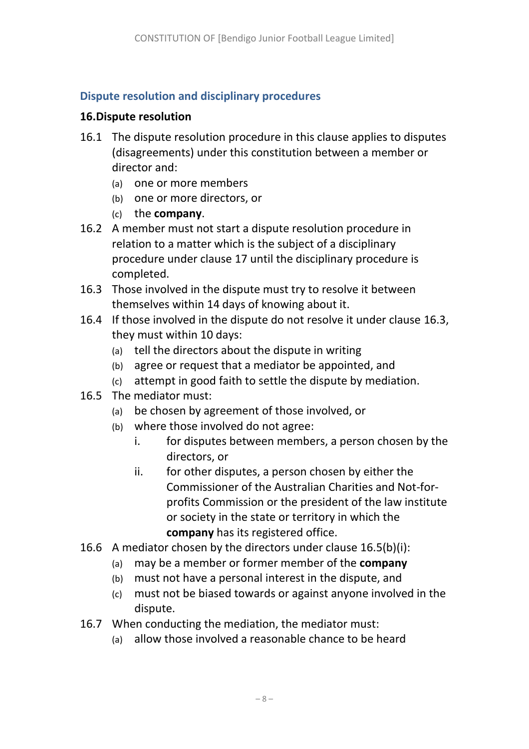#### **Dispute resolution and disciplinary procedures**

#### **16.Dispute resolution**

- 16.1 The dispute resolution procedure in this clause applies to disputes (disagreements) under this constitution between a member or director and:
	- (a) one or more members
	- (b) one or more directors, or
	- (c) the **company**.
- 16.2 A member must not start a dispute resolution procedure in relation to a matter which is the subject of a disciplinary procedure under clause 17 until the disciplinary procedure is completed.
- <span id="page-7-0"></span>16.3 Those involved in the dispute must try to resolve it between themselves within 14 days of knowing about it.
- 16.4 If those involved in the dispute do not resolve it under clause [16.3,](#page-7-0) they must within 10 days:
	- (a) tell the directors about the dispute in writing
	- (b) agree or request that a mediator be appointed, and
	- (c) attempt in good faith to settle the dispute by mediation.
- <span id="page-7-2"></span><span id="page-7-1"></span>16.5 The mediator must:
	- (a) be chosen by agreement of those involved, or
	- (b) where those involved do not agree:
		- i. for disputes between members, a person chosen by the directors, or
		- ii. for other disputes, a person chosen by either the Commissioner of the Australian Charities and Not-forprofits Commission or the president of the law institute or society in the state or territory in which the **company** has its registered office.
- 16.6 A mediator chosen by the directors under clause [16.5\(b\)](#page-7-1)[\(i\)](#page-7-2):
	- (a) may be a member or former member of the **company**
	- (b) must not have a personal interest in the dispute, and
	- (c) must not be biased towards or against anyone involved in the dispute.
- 16.7 When conducting the mediation, the mediator must:
	- (a) allow those involved a reasonable chance to be heard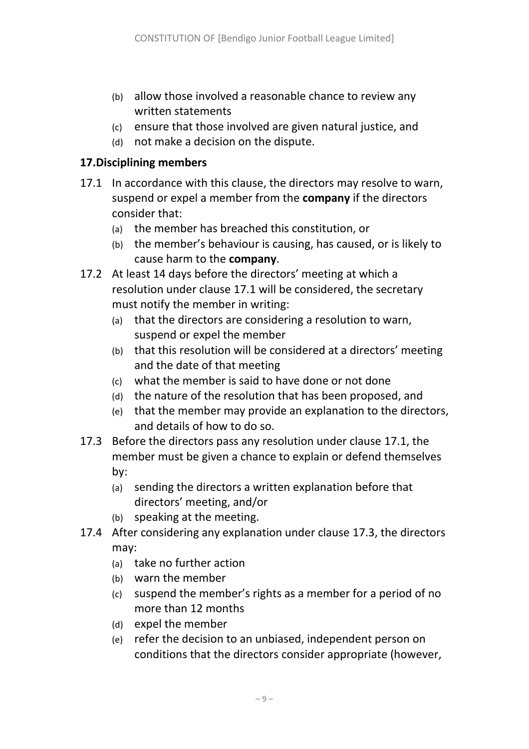- (b) allow those involved a reasonable chance to review any written statements
- (c) ensure that those involved are given natural justice, and
- (d) not make a decision on the dispute.

#### **17.Disciplining members**

- <span id="page-8-0"></span>17.1 In accordance with this clause, the directors may resolve to warn, suspend or expel a member from the **company** if the directors consider that:
	- (a) the member has breached this constitution, or
	- (b) the member's behaviour is causing, has caused, or is likely to cause harm to the **company**.
- 17.2 At least 14 days before the directors' meeting at which a resolution under clause [17.1](#page-8-0) will be considered, the secretary must notify the member in writing:
	- (a) that the directors are considering a resolution to warn, suspend or expel the member
	- (b) that this resolution will be considered at a directors' meeting and the date of that meeting
	- (c) what the member is said to have done or not done
	- (d) the nature of the resolution that has been proposed, and
	- (e) that the member may provide an explanation to the directors, and details of how to do so.
- <span id="page-8-1"></span>17.3 Before the directors pass any resolution under clause [17.1,](#page-8-0) the member must be given a chance to explain or defend themselves by:
	- (a) sending the directors a written explanation before that directors' meeting, and/or
	- (b) speaking at the meeting.
- <span id="page-8-2"></span>17.4 After considering any explanation under clause [17.3,](#page-8-1) the directors may:
	- (a) take no further action
	- (b) warn the member
	- (c) suspend the member's rights as a member for a period of no more than 12 months
	- (d) expel the member
	- (e) refer the decision to an unbiased, independent person on conditions that the directors consider appropriate (however,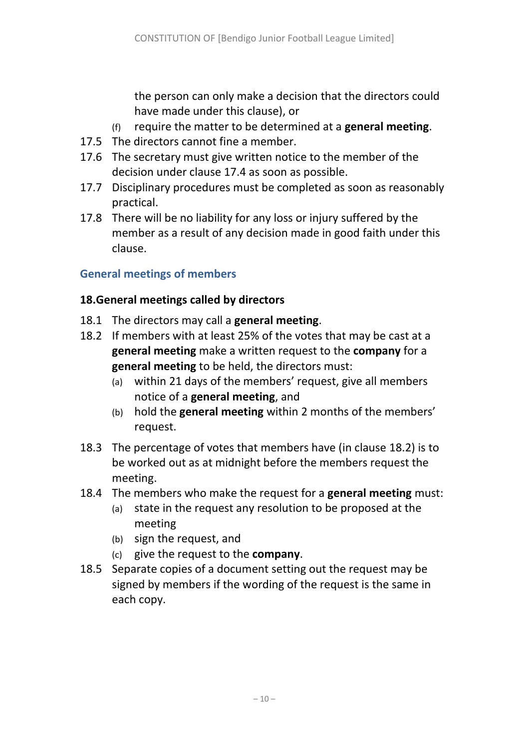the person can only make a decision that the directors could have made under this clause), or

- (f) require the matter to be determined at a **general meeting**.
- 17.5 The directors cannot fine a member.
- 17.6 The secretary must give written notice to the member of the decision under clause [17.4](#page-8-2) as soon as possible.
- 17.7 Disciplinary procedures must be completed as soon as reasonably practical.
- 17.8 There will be no liability for any loss or injury suffered by the member as a result of any decision made in good faith under this clause.

## **General meetings of members**

## **18.General meetings called by directors**

- 18.1 The directors may call a **general meeting**.
- <span id="page-9-0"></span>18.2 If members with at least 25% of the votes that may be cast at a **general meeting** make a written request to the **company** for a **general meeting** to be held, the directors must:
	- (a) within 21 days of the members' request, give all members notice of a **general meeting**, and
	- (b) hold the **general meeting** within 2 months of the members' request.
- 18.3 The percentage of votes that members have (in clause [18.2\)](#page-9-0) is to be worked out as at midnight before the members request the meeting.
- 18.4 The members who make the request for a **general meeting** must:
	- (a) state in the request any resolution to be proposed at the meeting
	- (b) sign the request, and
	- (c) give the request to the **company**.
- 18.5 Separate copies of a document setting out the request may be signed by members if the wording of the request is the same in each copy.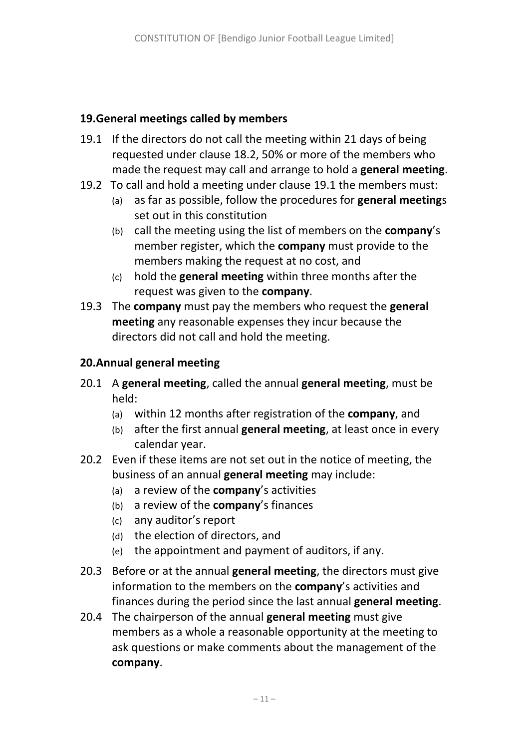#### **19.General meetings called by members**

- <span id="page-10-0"></span>19.1 If the directors do not call the meeting within 21 days of being requested under clause [18.2,](#page-9-0) 50% or more of the members who made the request may call and arrange to hold a **general meeting**.
- 19.2 To call and hold a meeting under clause [19.1](#page-10-0) the members must:
	- (a) as far as possible, follow the procedures for **general meeting**s set out in this constitution
	- (b) call the meeting using the list of members on the **company**'s member register, which the **company** must provide to the members making the request at no cost, and
	- (c) hold the **general meeting** within three months after the request was given to the **company**.
- 19.3 The **company** must pay the members who request the **general meeting** any reasonable expenses they incur because the directors did not call and hold the meeting.

## **20.Annual general meeting**

- <span id="page-10-1"></span>20.1 A **general meeting**, called the annual **general meeting**, must be held:
	- (a) within 12 months after registration of the **company**, and
	- (b) after the first annual **general meeting**, at least once in every calendar year.
- 20.2 Even if these items are not set out in the notice of meeting, the business of an annual **general meeting** may include:
	- (a) a review of the **company**'s activities
	- (b) a review of the **company**'s finances
	- (c) any auditor's report
	- (d) the election of directors, and
	- (e) the appointment and payment of auditors, if any.
- 20.3 Before or at the annual **general meeting**, the directors must give information to the members on the **company**'s activities and finances during the period since the last annual **general meeting**.
- 20.4 The chairperson of the annual **general meeting** must give members as a whole a reasonable opportunity at the meeting to ask questions or make comments about the management of the **company**.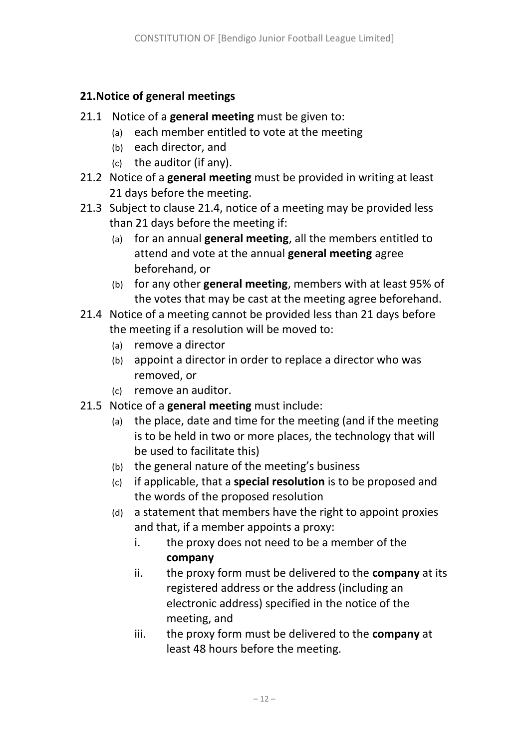## **21.Notice of general meetings**

- 21.1 Notice of a **general meeting** must be given to:
	- (a) each member entitled to vote at the meeting
	- (b) each director, and
	- (c) the auditor (if any).
- 21.2 Notice of a **general meeting** must be provided in writing at least 21 days before the meeting.
- 21.3 Subject to clause [21.4,](#page-11-0) notice of a meeting may be provided less than 21 days before the meeting if:
	- (a) for an annual **general meeting**, all the members entitled to attend and vote at the annual **general meeting** agree beforehand, or
	- (b) for any other **general meeting**, members with at least 95% of the votes that may be cast at the meeting agree beforehand.
- <span id="page-11-0"></span>21.4 Notice of a meeting cannot be provided less than 21 days before the meeting if a resolution will be moved to:
	- (a) remove a director
	- (b) appoint a director in order to replace a director who was removed, or
	- (c) remove an auditor.
- <span id="page-11-2"></span><span id="page-11-1"></span>21.5 Notice of a **general meeting** must include:
	- (a) the place, date and time for the meeting (and if the meeting is to be held in two or more places, the technology that will be used to facilitate this)
	- (b) the general nature of the meeting's business
	- (c) if applicable, that a **special resolution** is to be proposed and the words of the proposed resolution
	- (d) a statement that members have the right to appoint proxies and that, if a member appoints a proxy:
		- i. the proxy does not need to be a member of the **company**
		- ii. the proxy form must be delivered to the **company** at its registered address or the address (including an electronic address) specified in the notice of the meeting, and
		- iii. the proxy form must be delivered to the **company** at least 48 hours before the meeting.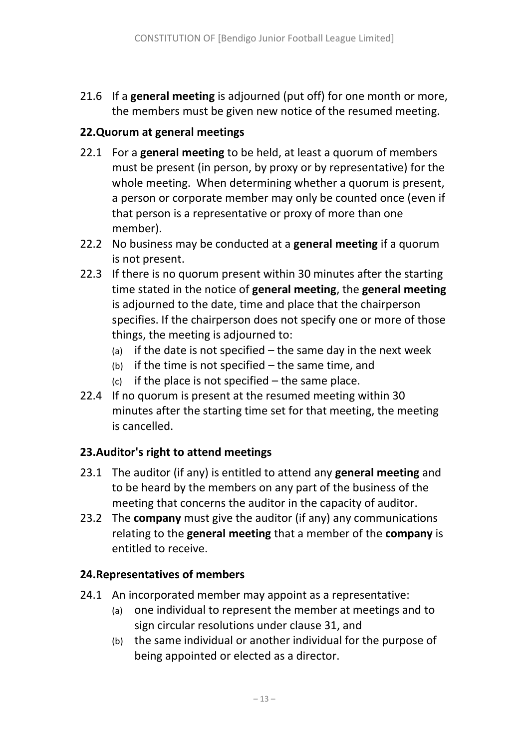21.6 If a **general meeting** is adjourned (put off) for one month or more, the members must be given new notice of the resumed meeting.

## **22.Quorum at general meetings**

- 22.1 For a **general meeting** to be held, at least a quorum of members must be present (in person, by proxy or by representative) for the whole meeting. When determining whether a quorum is present, a person or corporate member may only be counted once (even if that person is a representative or proxy of more than one member).
- 22.2 No business may be conducted at a **general meeting** if a quorum is not present.
- 22.3 If there is no quorum present within 30 minutes after the starting time stated in the notice of **general meeting**, the **general meeting** is adjourned to the date, time and place that the chairperson specifies. If the chairperson does not specify one or more of those things, the meeting is adjourned to:
	- (a) if the date is not specified the same day in the next week
	- (b) if the time is not specified  $-$  the same time, and
	- $(c)$  if the place is not specified the same place.
- 22.4 If no quorum is present at the resumed meeting within 30 minutes after the starting time set for that meeting, the meeting is cancelled.

## **23.Auditor's right to attend meetings**

- 23.1 The auditor (if any) is entitled to attend any **general meeting** and to be heard by the members on any part of the business of the meeting that concerns the auditor in the capacity of auditor.
- 23.2 The **company** must give the auditor (if any) any communications relating to the **general meeting** that a member of the **company** is entitled to receive.

## **24.Representatives of members**

- 24.1 An incorporated member may appoint as a representative:
	- (a) one individual to represent the member at meetings and to sign circular resolutions under clause 31, and
	- (b) the same individual or another individual for the purpose of being appointed or elected as a director.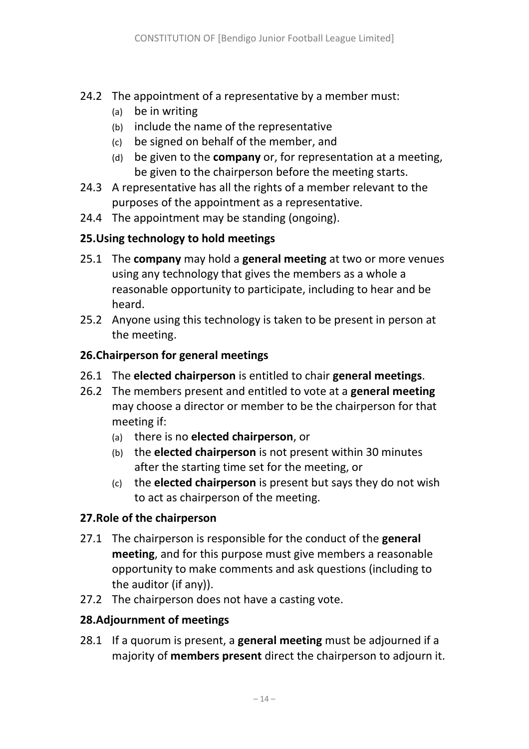- 24.2 The appointment of a representative by a member must:
	- (a) be in writing
	- (b) include the name of the representative
	- (c) be signed on behalf of the member, and
	- (d) be given to the **company** or, for representation at a meeting, be given to the chairperson before the meeting starts.
- 24.3 A representative has all the rights of a member relevant to the purposes of the appointment as a representative.
- 24.4 The appointment may be standing (ongoing).

## **25.Using technology to hold meetings**

- 25.1 The **company** may hold a **general meeting** at two or more venues using any technology that gives the members as a whole a reasonable opportunity to participate, including to hear and be heard.
- 25.2 Anyone using this technology is taken to be present in person at the meeting.

#### **26.Chairperson for general meetings**

- 26.1 The **elected chairperson** is entitled to chair **general meetings**.
- <span id="page-13-0"></span>26.2 The members present and entitled to vote at a **general meeting** may choose a director or member to be the chairperson for that meeting if:
	- (a) there is no **elected chairperson**, or
	- (b) the **elected chairperson** is not present within 30 minutes after the starting time set for the meeting, or
	- (c) the **elected chairperson** is present but says they do not wish to act as chairperson of the meeting.

## **27.Role of the chairperson**

- 27.1 The chairperson is responsible for the conduct of the **general meeting**, and for this purpose must give members a reasonable opportunity to make comments and ask questions (including to the auditor (if any)).
- 27.2 The chairperson does not have a casting vote.

#### **28.Adjournment of meetings**

28.1 If a quorum is present, a **general meeting** must be adjourned if a majority of **members present** direct the chairperson to adjourn it.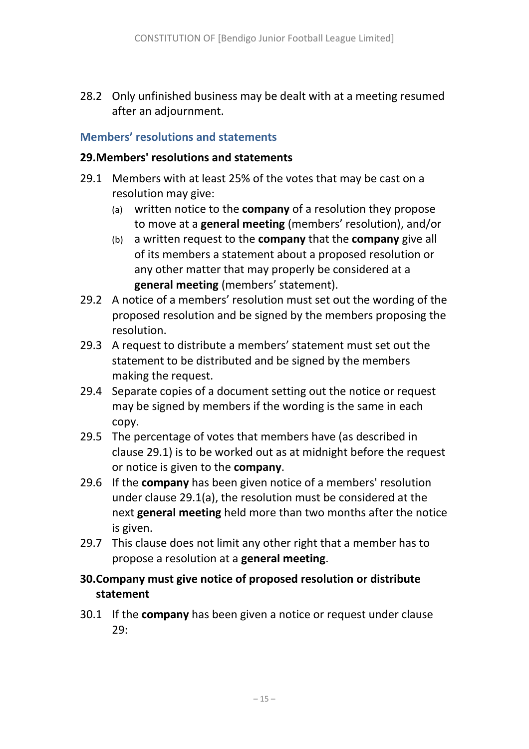28.2 Only unfinished business may be dealt with at a meeting resumed after an adjournment.

#### **Members' resolutions and statements**

#### **29.Members' resolutions and statements**

- <span id="page-14-1"></span><span id="page-14-0"></span>29.1 Members with at least 25% of the votes that may be cast on a resolution may give:
	- (a) written notice to the **company** of a resolution they propose to move at a **general meeting** (members' resolution), and/or
	- (b) a written request to the **company** that the **company** give all of its members a statement about a proposed resolution or any other matter that may properly be considered at a **general meeting** (members' statement).
- 29.2 A notice of a members' resolution must set out the wording of the proposed resolution and be signed by the members proposing the resolution.
- 29.3 A request to distribute a members' statement must set out the statement to be distributed and be signed by the members making the request.
- 29.4 Separate copies of a document setting out the notice or request may be signed by members if the wording is the same in each copy.
- 29.5 The percentage of votes that members have (as described in clause [29.1\)](#page-14-0) is to be worked out as at midnight before the request or notice is given to the **company**.
- 29.6 If the **company** has been given notice of a members' resolution under clause [29.1\(a\),](#page-14-1) the resolution must be considered at the next **general meeting** held more than two months after the notice is given.
- 29.7 This clause does not limit any other right that a member has to propose a resolution at a **general meeting**.

## **30.Company must give notice of proposed resolution or distribute statement**

30.1 If the **company** has been given a notice or request under clause  $29:$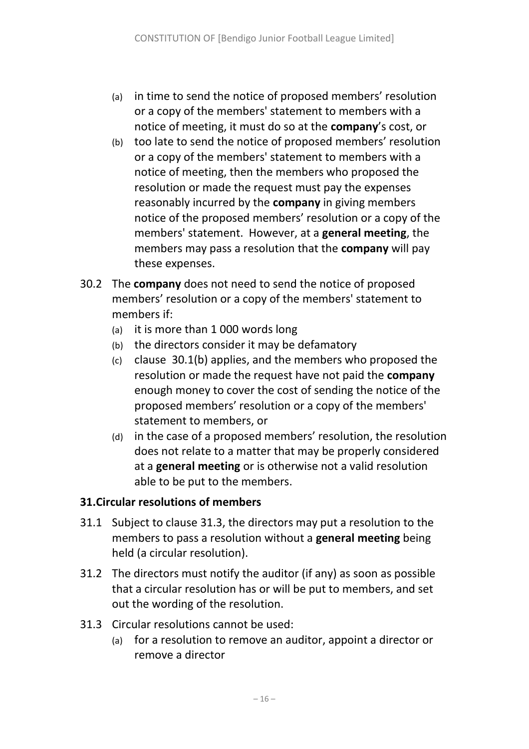- (a) in time to send the notice of proposed members' resolution or a copy of the members' statement to members with a notice of meeting, it must do so at the **company**'s cost, or
- <span id="page-15-0"></span>(b) too late to send the notice of proposed members' resolution or a copy of the members' statement to members with a notice of meeting, then the members who proposed the resolution or made the request must pay the expenses reasonably incurred by the **company** in giving members notice of the proposed members' resolution or a copy of the members' statement. However, at a **general meeting**, the members may pass a resolution that the **company** will pay these expenses.
- 30.2 The **company** does not need to send the notice of proposed members' resolution or a copy of the members' statement to members if:
	- (a) it is more than 1 000 words long
	- (b) the directors consider it may be defamatory
	- (c) clause [30.1\(b\)](#page-15-0) applies, and the members who proposed the resolution or made the request have not paid the **company** enough money to cover the cost of sending the notice of the proposed members' resolution or a copy of the members' statement to members, or
	- (d) in the case of a proposed members' resolution, the resolution does not relate to a matter that may be properly considered at a **general meeting** or is otherwise not a valid resolution able to be put to the members.

## **31.Circular resolutions of members**

- 31.1 Subject to clause [31.3,](#page-15-1) the directors may put a resolution to the members to pass a resolution without a **general meeting** being held (a circular resolution).
- 31.2 The directors must notify the auditor (if any) as soon as possible that a circular resolution has or will be put to members, and set out the wording of the resolution.
- <span id="page-15-1"></span>31.3 Circular resolutions cannot be used:
	- (a) for a resolution to remove an auditor, appoint a director or remove a director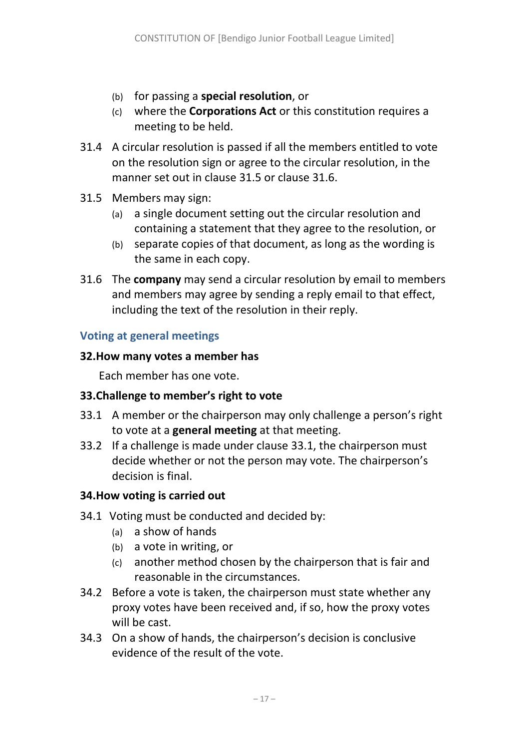- (b) for passing a **special resolution**, or
- (c) where the **Corporations Act** or this constitution requires a meeting to be held.
- 31.4 A circular resolution is passed if all the members entitled to vote on the resolution sign or agree to the circular resolution, in the manner set out in clause [31.5](#page-16-0) or clause 31.6.
- <span id="page-16-0"></span>31.5 Members may sign:
	- (a) a single document setting out the circular resolution and containing a statement that they agree to the resolution, or
	- (b) separate copies of that document, as long as the wording is the same in each copy.
- 31.6 The **company** may send a circular resolution by email to members and members may agree by sending a reply email to that effect, including the text of the resolution in their reply.

#### **Voting at general meetings**

#### **32.How many votes a member has**

Each member has one vote.

#### **33.Challenge to member's right to vote**

- <span id="page-16-1"></span>33.1 A member or the chairperson may only challenge a person's right to vote at a **general meeting** at that meeting.
- 33.2 If a challenge is made under clause [33.1,](#page-16-1) the chairperson must decide whether or not the person may vote. The chairperson's decision is final.

#### **34.How voting is carried out**

- 34.1 Voting must be conducted and decided by:
	- (a) a show of hands
	- (b) a vote in writing, or
	- (c) another method chosen by the chairperson that is fair and reasonable in the circumstances.
- 34.2 Before a vote is taken, the chairperson must state whether any proxy votes have been received and, if so, how the proxy votes will be cast.
- 34.3 On a show of hands, the chairperson's decision is conclusive evidence of the result of the vote.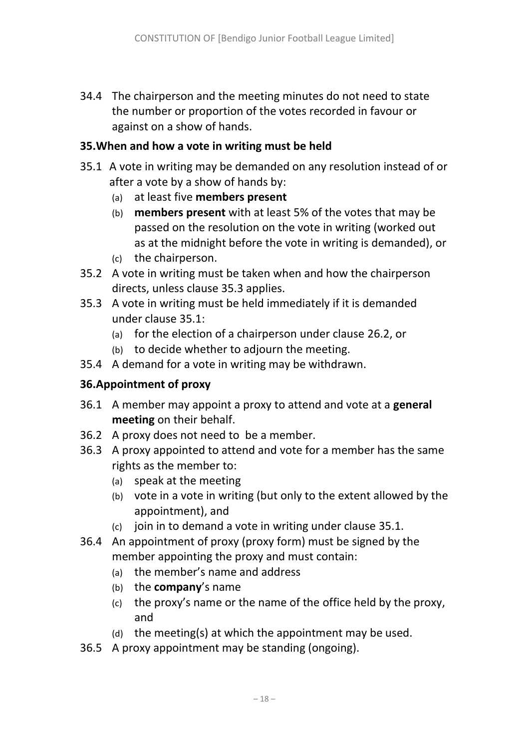34.4 The chairperson and the meeting minutes do not need to state the number or proportion of the votes recorded in favour or against on a show of hands.

#### **35.When and how a vote in writing must be held**

- <span id="page-17-1"></span>35.1 A vote in writing may be demanded on any resolution instead of or after a vote by a show of hands by:
	- (a) at least five **members present**
	- (b) **members present** with at least 5% of the votes that may be passed on the resolution on the vote in writing (worked out as at the midnight before the vote in writing is demanded), or
	- (c) the chairperson.
- 35.2 A vote in writing must be taken when and how the chairperson directs, unless clause [35.3](#page-17-0) applies.
- <span id="page-17-0"></span>35.3 A vote in writing must be held immediately if it is demanded under clause [35.1:](#page-17-1)
	- (a) for the election of a chairperson under clause [26.2,](#page-13-0) or
	- (b) to decide whether to adjourn the meeting.
- 35.4 A demand for a vote in writing may be withdrawn.

## **36.Appointment of proxy**

- 36.1 A member may appoint a proxy to attend and vote at a **general meeting** on their behalf.
- 36.2 A proxy does not need to be a member.
- 36.3 A proxy appointed to attend and vote for a member has the same rights as the member to:
	- (a) speak at the meeting
	- (b) vote in a vote in writing (but only to the extent allowed by the appointment), and
	- (c) join in to demand a vote in writing under clause [35.1.](#page-17-1)
- 36.4 An appointment of proxy (proxy form) must be signed by the member appointing the proxy and must contain:
	- (a) the member's name and address
	- (b) the **company**'s name
	- (c) the proxy's name or the name of the office held by the proxy, and
	- (d) the meeting(s) at which the appointment may be used.
- 36.5 A proxy appointment may be standing (ongoing).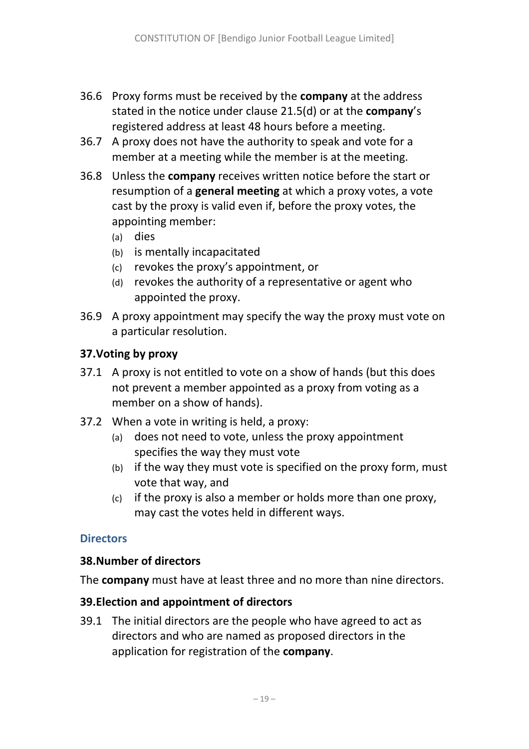- <span id="page-18-0"></span>36.6 Proxy forms must be received by the **company** at the address stated in the notice under clause [21.5\(d\)](#page-11-1) or at the **company**'s registered address at least 48 hours before a meeting.
- 36.7 A proxy does not have the authority to speak and vote for a member at a meeting while the member is at the meeting.
- 36.8 Unless the **company** receives written notice before the start or resumption of a **general meeting** at which a proxy votes, a vote cast by the proxy is valid even if, before the proxy votes, the appointing member:
	- (a) dies
	- (b) is mentally incapacitated
	- (c) revokes the proxy's appointment, or
	- (d) revokes the authority of a representative or agent who appointed the proxy.
- 36.9 A proxy appointment may specify the way the proxy must vote on a particular resolution.

## **37.Voting by proxy**

- 37.1 A proxy is not entitled to vote on a show of hands (but this does not prevent a member appointed as a proxy from voting as a member on a show of hands).
- 37.2 When a vote in writing is held, a proxy:
	- (a) does not need to vote, unless the proxy appointment specifies the way they must vote
	- (b) if the way they must vote is specified on the proxy form, must vote that way, and
	- (c) if the proxy is also a member or holds more than one proxy, may cast the votes held in different ways.

## **Directors**

## **38.Number of directors**

The **company** must have at least three and no more than nine directors.

## **39.Election and appointment of directors**

39.1 The initial directors are the people who have agreed to act as directors and who are named as proposed directors in the application for registration of the **company**.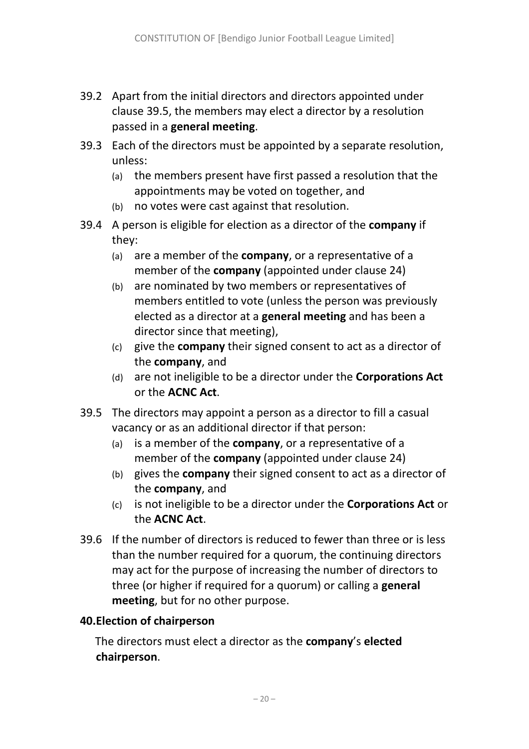- 39.2 Apart from the initial directors and directors appointed under clause [39.](#page-2-0)5, the members may elect a director by a resolution passed in a **general meeting**.
- 39.3 Each of the directors must be appointed by a separate resolution, unless:
	- (a) the members present have first passed a resolution that the appointments may be voted on together, and
	- (b) no votes were cast against that resolution.
- 39.4 A person is eligible for election as a director of the **company** if they:
	- (a) are a member of the **company**, or a representative of a member of the **company** (appointed under clause 24)
	- (b) are nominated by two members or representatives of members entitled to vote (unless the person was previously elected as a director at a **general meeting** and has been a director since that meeting),
	- (c) give the **company** their signed consent to act as a director of the **company**, and
	- (d) are not ineligible to be a director under the **Corporations Act** or the **ACNC Act**.
- 39.5 The directors may appoint a person as a director to fill a casual vacancy or as an additional director if that person:
	- (a) is a member of the **company**, or a representative of a member of the **company** (appointed under clause 24)
	- (b) gives the **company** their signed consent to act as a director of the **company**, and
	- (c) is not ineligible to be a director under the **Corporations Act** or the **ACNC Act**.
- 39.6 If the number of directors is reduced to fewer than three or is less than the number required for a quorum, the continuing directors may act for the purpose of increasing the number of directors to three (or higher if required for a quorum) or calling a **general meeting**, but for no other purpose.

## <span id="page-19-0"></span>**40.Election of chairperson**

The directors must elect a director as the **company**'s **elected chairperson**.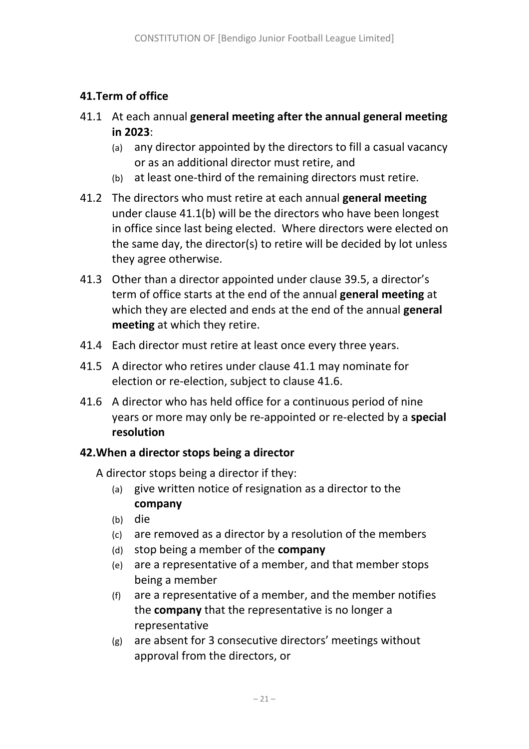## **41.Term of office**

- <span id="page-20-1"></span>41.1 At each annual **general meeting after the annual general meeting in 2023**:
	- (a) any director appointed by the directors to fill a casual vacancy or as an additional director must retire, and
	- (b) at least one-third of the remaining directors must retire.
- <span id="page-20-0"></span>41.2 The directors who must retire at each annual **general meeting** under clause [41.1\(b\)](#page-20-0) will be the directors who have been longest in office since last being elected. Where directors were elected on the same day, the director(s) to retire will be decided by lot unless they agree otherwise.
- 41.3 Other than a director appointed under clause [39.](#page-2-0)5, a director's term of office starts at the end of the annual **general meeting** at which they are elected and ends at the end of the annual **general meeting** at which they retire.
- 41.4 Each director must retire at least once every three years.
- 41.5 A director who retires under clause [41.1](#page-20-1) may nominate for election or re-election, subject to clause 41.6.
- 41.6 A director who has held office for a continuous period of nine years or more may only be re-appointed or re-elected by a **special resolution**

## **42.When a director stops being a director**

A director stops being a director if they:

- (a) give written notice of resignation as a director to the **company**
- (b) die
- (c) are removed as a director by a resolution of the members
- (d) stop being a member of the **company**
- (e) are a representative of a member, and that member stops being a member
- (f) are a representative of a member, and the member notifies the **company** that the representative is no longer a representative
- (g) are absent for 3 consecutive directors' meetings without approval from the directors, or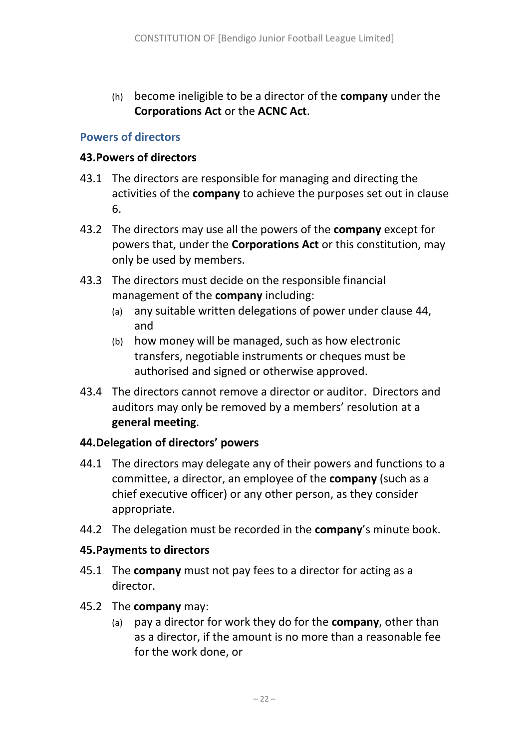(h) become ineligible to be a director of the **company** under the **Corporations Act** or the **ACNC Act**.

#### **Powers of directors**

#### **43.Powers of directors**

- 43.1 The directors are responsible for managing and directing the activities of the **company** to achieve the purposes set out in clause [6.](#page-1-2)
- 43.2 The directors may use all the powers of the **company** except for powers that, under the **Corporations Act** or this constitution, may only be used by members.
- 43.3 The directors must decide on the responsible financial management of the **company** including:
	- (a) any suitable written delegations of power under clause [44,](#page-2-1) and
	- (b) how money will be managed, such as how electronic transfers, negotiable instruments or cheques must be authorised and signed or otherwise approved.
- 43.4 The directors cannot remove a director or auditor. Directors and auditors may only be removed by a members' resolution at a **general meeting**.

#### **44.Delegation of directors' powers**

- 44.1 The directors may delegate any of their powers and functions to a committee, a director, an employee of the **company** (such as a chief executive officer) or any other person, as they consider appropriate.
- 44.2 The delegation must be recorded in the **company**'s minute book.

## **45.Payments to directors**

- 45.1 The **company** must not pay fees to a director for acting as a director.
- <span id="page-21-0"></span>45.2 The **company** may:
	- (a) pay a director for work they do for the **company**, other than as a director, if the amount is no more than a reasonable fee for the work done, or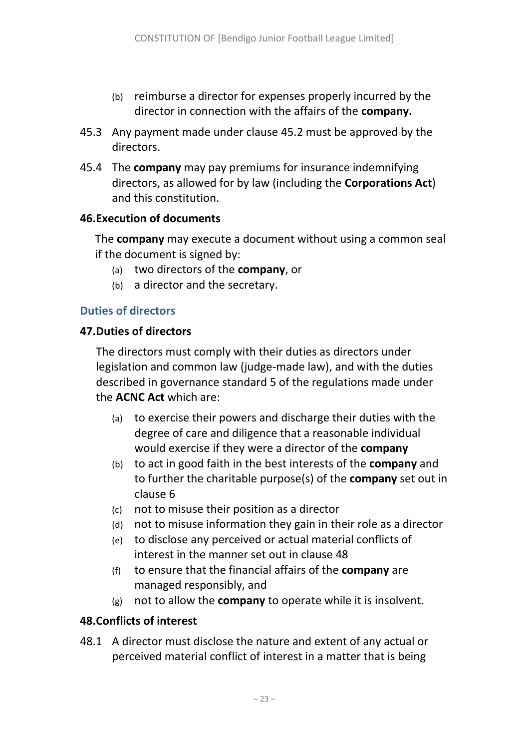- (b) reimburse a director for expenses properly incurred by the director in connection with the affairs of the **company.**
- 45.3 Any payment made under clause [45.2](#page-21-0) must be approved by the directors.
- 45.4 The **company** may pay premiums for insurance indemnifying directors, as allowed for by law (including the **Corporations Act**) and this constitution.

#### **46.Execution of documents**

The **company** may execute a document without using a common seal if the document is signed by:

- (a) two directors of the **company**, or
- (b) a director and the secretary.

## **Duties of directors**

#### **47.Duties of directors**

The directors must comply with their duties as directors under legislation and common law (judge-made law), and with the duties described in governance standard 5 of the regulations made under the **ACNC Act** which are:

- (a) to exercise their powers and discharge their duties with the degree of care and diligence that a reasonable individual would exercise if they were a director of the **company**
- (b) to act in good faith in the best interests of the **company** and to further the charitable purpose(s) of the **company** set out in clause [6](#page-1-2)
- (c) not to misuse their position as a director
- (d) not to misuse information they gain in their role as a director
- (e) to disclose any perceived or actual material conflicts of interest in the manner set out in clause [48](#page-22-0)
- (f) to ensure that the financial affairs of the **company** are managed responsibly, and
- (g) not to allow the **company** to operate while it is insolvent.

## <span id="page-22-0"></span>**48.Conflicts of interest**

48.1 A director must disclose the nature and extent of any actual or perceived material conflict of interest in a matter that is being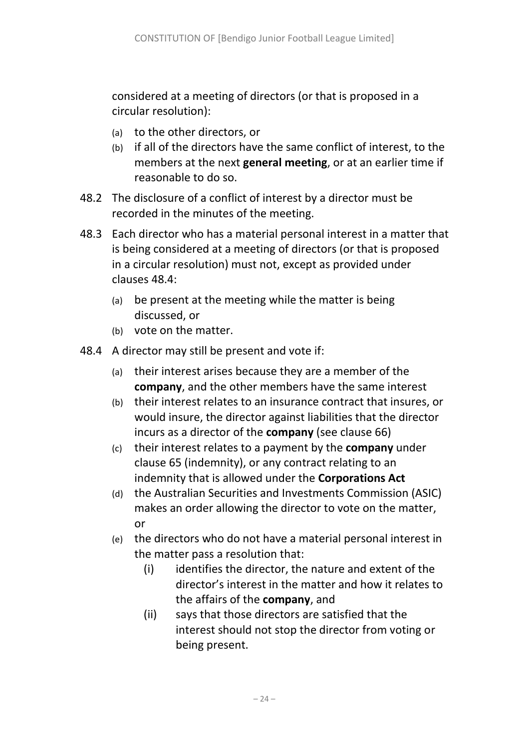considered at a meeting of directors (or that is proposed in a circular resolution):

- (a) to the other directors, or
- (b) if all of the directors have the same conflict of interest, to the members at the next **general meeting**, or at an earlier time if reasonable to do so.
- 48.2 The disclosure of a conflict of interest by a director must be recorded in the minutes of the meeting.
- 48.3 Each director who has a material personal interest in a matter that is being considered at a meeting of directors (or that is proposed in a circular resolution) must not, except as provided under clauses [48.4:](#page-23-0)
	- (a) be present at the meeting while the matter is being discussed, or
	- (b) vote on the matter.
- <span id="page-23-0"></span>48.4 A director may still be present and vote if:
	- (a) their interest arises because they are a member of the **company**, and the other members have the same interest
	- (b) their interest relates to an insurance contract that insures, or would insure, the director against liabilities that the director incurs as a director of the **company** (see clause [66\)](#page-29-1)
	- (c) their interest relates to a payment by the **company** under clause [65](#page-28-0) (indemnity), or any contract relating to an indemnity that is allowed under the **Corporations Act**
	- (d) the Australian Securities and Investments Commission (ASIC) makes an order allowing the director to vote on the matter, or
	- (e) the directors who do not have a material personal interest in the matter pass a resolution that:
		- (i) identifies the director, the nature and extent of the director's interest in the matter and how it relates to the affairs of the **company**, and
		- (ii) says that those directors are satisfied that the interest should not stop the director from voting or being present.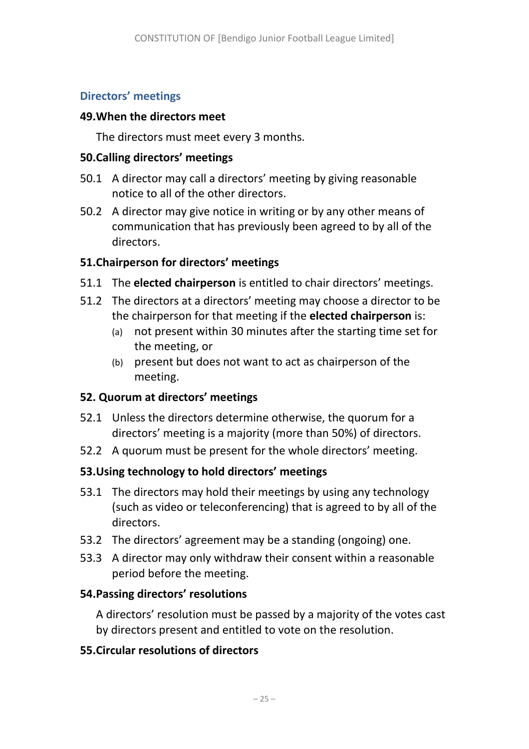#### **Directors' meetings**

#### **49.When the directors meet**

The directors must meet every 3 months.

#### **50.Calling directors' meetings**

- 50.1 A director may call a directors' meeting by giving reasonable notice to all of the other directors.
- 50.2 A director may give notice in writing or by any other means of communication that has previously been agreed to by all of the directors.

## **51.Chairperson for directors' meetings**

- 51.1 The **elected chairperson** is entitled to chair directors' meetings.
- 51.2 The directors at a directors' meeting may choose a director to be the chairperson for that meeting if the **elected chairperson** is:
	- (a) not present within 30 minutes after the starting time set for the meeting, or
	- (b) present but does not want to act as chairperson of the meeting.

## **52. Quorum at directors' meetings**

- 52.1 Unless the directors determine otherwise, the quorum for a directors' meeting is a majority (more than 50%) of directors.
- 52.2 A quorum must be present for the whole directors' meeting.

## **53.Using technology to hold directors' meetings**

- 53.1 The directors may hold their meetings by using any technology (such as video or teleconferencing) that is agreed to by all of the directors.
- 53.2 The directors' agreement may be a standing (ongoing) one.
- 53.3 A director may only withdraw their consent within a reasonable period before the meeting.

## **54.Passing directors' resolutions**

A directors' resolution must be passed by a majority of the votes cast by directors present and entitled to vote on the resolution.

## **55.Circular resolutions of directors**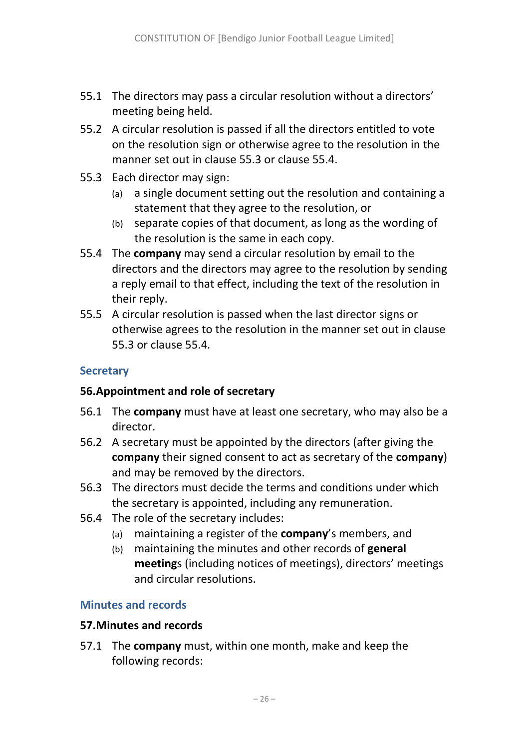- 55.1 The directors may pass a circular resolution without a directors' meeting being held.
- 55.2 A circular resolution is passed if all the directors entitled to vote on the resolution sign or otherwise agree to the resolution in the manner set out in clause [55.3](#page-25-0) or clause [55.4.](#page-25-1)
- <span id="page-25-0"></span>55.3 Each director may sign:
	- (a) a single document setting out the resolution and containing a statement that they agree to the resolution, or
	- (b) separate copies of that document, as long as the wording of the resolution is the same in each copy.
- <span id="page-25-1"></span>55.4 The **company** may send a circular resolution by email to the directors and the directors may agree to the resolution by sending a reply email to that effect, including the text of the resolution in their reply.
- 55.5 A circular resolution is passed when the last director signs or otherwise agrees to the resolution in the manner set out in clause [55.3](#page-25-0) or clause [55.4.](#page-25-1)

#### **Secretary**

#### **56.Appointment and role of secretary**

- 56.1 The **company** must have at least one secretary, who may also be a director.
- 56.2 A secretary must be appointed by the directors (after giving the **company** their signed consent to act as secretary of the **company**) and may be removed by the directors.
- 56.3 The directors must decide the terms and conditions under which the secretary is appointed, including any remuneration.
- 56.4 The role of the secretary includes:
	- (a) maintaining a register of the **company**'s members, and
	- (b) maintaining the minutes and other records of **general meeting**s (including notices of meetings), directors' meetings and circular resolutions.

#### **Minutes and records**

#### **57.Minutes and records**

<span id="page-25-2"></span>57.1 The **company** must, within one month, make and keep the following records: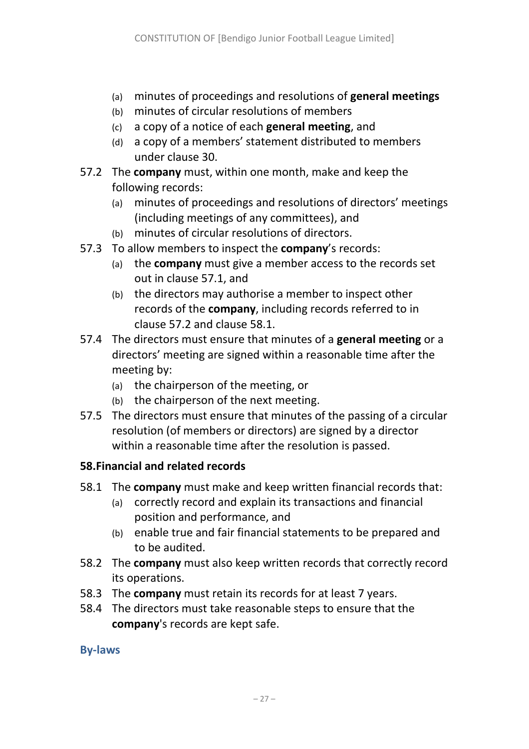- (a) minutes of proceedings and resolutions of **general meetings**
- (b) minutes of circular resolutions of members
- (c) a copy of a notice of each **general meeting**, and
- (d) a copy of a members' statement distributed to members under clause [30.](#page-1-3)
- <span id="page-26-0"></span>57.2 The **company** must, within one month, make and keep the following records:
	- (a) minutes of proceedings and resolutions of directors' meetings (including meetings of any committees), and
	- (b) minutes of circular resolutions of directors.
- 57.3 To allow members to inspect the **company**'s records:
	- (a) the **company** must give a member access to the records set out in clause [57.1,](#page-25-2) and
	- (b) the directors may authorise a member to inspect other records of the **company**, including records referred to in clause [57.2](#page-26-0) and clause [58.1.](#page-26-1)
- 57.4 The directors must ensure that minutes of a **general meeting** or a directors' meeting are signed within a reasonable time after the meeting by:
	- (a) the chairperson of the meeting, or
	- (b) the chairperson of the next meeting.
- 57.5 The directors must ensure that minutes of the passing of a circular resolution (of members or directors) are signed by a director within a reasonable time after the resolution is passed.

## **58.Financial and related records**

- <span id="page-26-1"></span>58.1 The **company** must make and keep written financial records that:
	- (a) correctly record and explain its transactions and financial position and performance, and
	- (b) enable true and fair financial statements to be prepared and to be audited.
- 58.2 The **company** must also keep written records that correctly record its operations.
- 58.3 The **company** must retain its records for at least 7 years.
- 58.4 The directors must take reasonable steps to ensure that the **company**'s records are kept safe.

## **By-laws**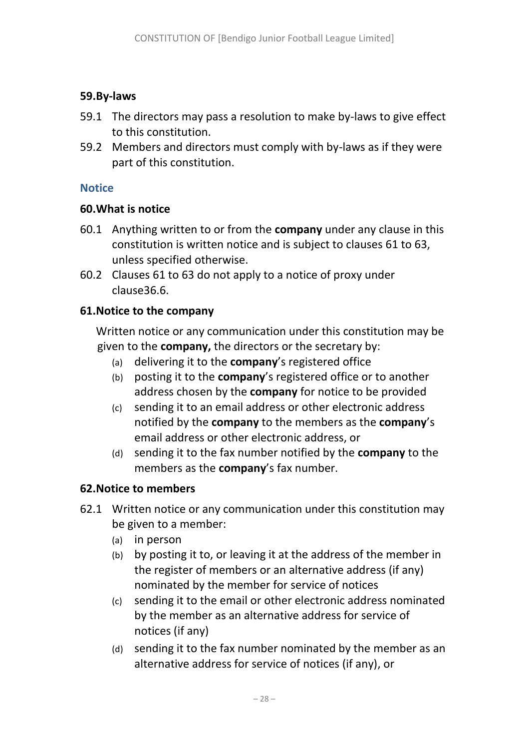#### **59.By-laws**

- 59.1 The directors may pass a resolution to make by-laws to give effect to this constitution.
- 59.2 Members and directors must comply with by-laws as if they were part of this constitution.

#### **Notice**

#### **60.What is notice**

- 60.1 Anything written to or from the **company** under any clause in this constitution is written notice and is subject to clauses [61](#page-27-0) to [63,](#page-28-1) unless specified otherwise.
- 60.2 Clauses [61](#page-27-0) to [63](#page-28-1) do not apply to a notice of proxy under claus[e36.6.](#page-18-0)

## <span id="page-27-0"></span>**61.Notice to the company**

Written notice or any communication under this constitution may be given to the **company,** the directors or the secretary by:

- (a) delivering it to the **company**'s registered office
- (b) posting it to the **company**'s registered office or to another address chosen by the **company** for notice to be provided
- (c) sending it to an email address or other electronic address notified by the **company** to the members as the **company**'s email address or other electronic address, or
- (d) sending it to the fax number notified by the **company** to the members as the **company**'s fax number.

## **62.Notice to members**

- 62.1 Written notice or any communication under this constitution may be given to a member:
	- (a) in person
	- (b) by posting it to, or leaving it at the address of the member in the register of members or an alternative address (if any) nominated by the member for service of notices
	- (c) sending it to the email or other electronic address nominated by the member as an alternative address for service of notices (if any)
	- (d) sending it to the fax number nominated by the member as an alternative address for service of notices (if any), or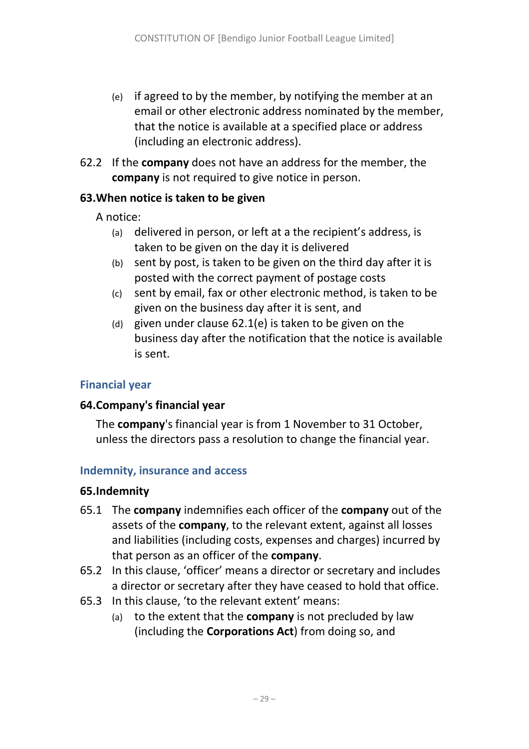- (e) if agreed to by the member, by notifying the member at an email or other electronic address nominated by the member, that the notice is available at a specified place or address (including an electronic address).
- 62.2 If the **company** does not have an address for the member, the **company** is not required to give notice in person.

#### <span id="page-28-1"></span>**63.When notice is taken to be given**

A notice:

- (a) delivered in person, or left at a the recipient's address, is taken to be given on the day it is delivered
- (b) sent by post, is taken to be given on the third day after it is posted with the correct payment of postage costs
- (c) sent by email, fax or other electronic method, is taken to be given on the business day after it is sent, and
- (d) given under clause 62.1(e) is taken to be given on the business day after the notification that the notice is available is sent.

## **Financial year**

## **64.Company's financial year**

The **company**'s financial year is from 1 November to 31 October, unless the directors pass a resolution to change the financial year.

#### **Indemnity, insurance and access**

## <span id="page-28-0"></span>**65.Indemnity**

- 65.1 The **company** indemnifies each officer of the **company** out of the assets of the **company**, to the relevant extent, against all losses and liabilities (including costs, expenses and charges) incurred by that person as an officer of the **company**.
- 65.2 In this clause, 'officer' means a director or secretary and includes a director or secretary after they have ceased to hold that office.
- 65.3 In this clause, 'to the relevant extent' means:
	- (a) to the extent that the **company** is not precluded by law (including the **Corporations Act**) from doing so, and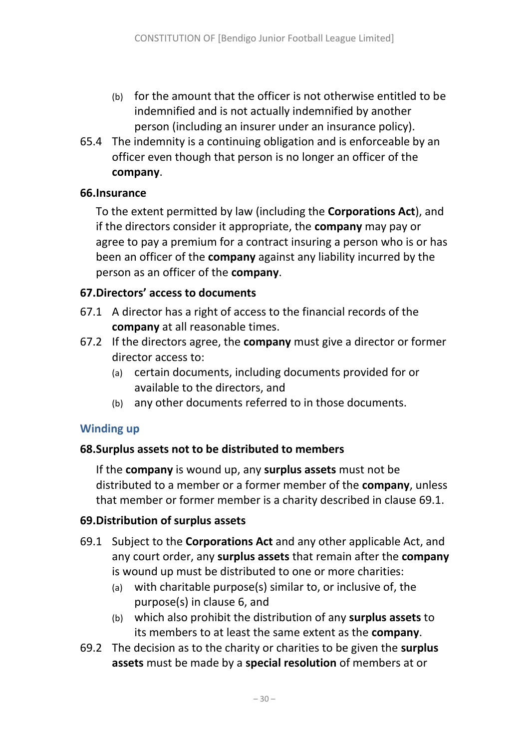- (b) for the amount that the officer is not otherwise entitled to be indemnified and is not actually indemnified by another person (including an insurer under an insurance policy).
- 65.4 The indemnity is a continuing obligation and is enforceable by an officer even though that person is no longer an officer of the **company**.

#### <span id="page-29-1"></span>**66.Insurance**

To the extent permitted by law (including the **Corporations Act**), and if the directors consider it appropriate, the **company** may pay or agree to pay a premium for a contract insuring a person who is or has been an officer of the **company** against any liability incurred by the person as an officer of the **company**.

## **67.Directors' access to documents**

- 67.1 A director has a right of access to the financial records of the **company** at all reasonable times.
- 67.2 If the directors agree, the **company** must give a director or former director access to:
	- (a) certain documents, including documents provided for or available to the directors, and
	- (b) any other documents referred to in those documents.

## **Winding up**

## **68.Surplus assets not to be distributed to members**

If the **company** is wound up, any **surplus assets** must not be distributed to a member or a former member of the **company**, unless that member or former member is a charity described in clause [69.1.](#page-29-2)

## <span id="page-29-0"></span>**69.Distribution of surplus assets**

- <span id="page-29-2"></span>69.1 Subject to the **Corporations Act** and any other applicable Act, and any court order, any **surplus assets** that remain after the **company** is wound up must be distributed to one or more charities:
	- (a) with charitable purpose(s) similar to, or inclusive of, the purpose(s) in clause [6,](#page-1-2) and
	- (b) which also prohibit the distribution of any **surplus assets** to its members to at least the same extent as the **company**.
- 69.2 The decision as to the charity or charities to be given the **surplus assets** must be made by a **special resolution** of members at or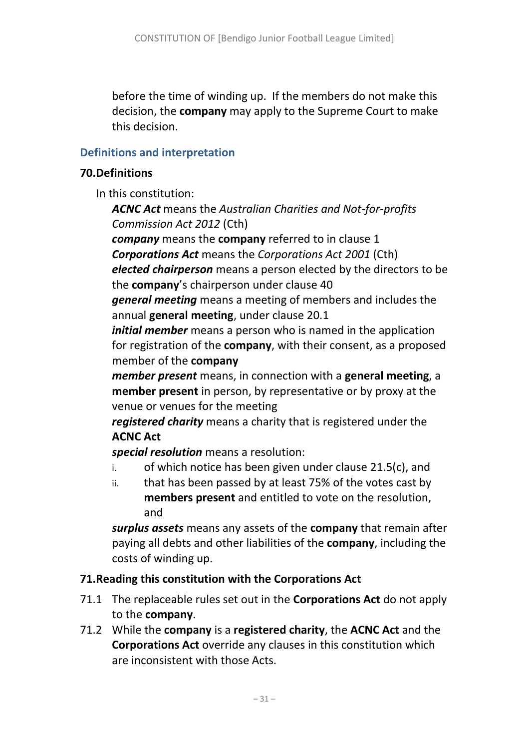before the time of winding up. If the members do not make this decision, the **company** may apply to the Supreme Court to make this decision.

## **Definitions and interpretation**

## <span id="page-30-0"></span>**70.Definitions**

In this constitution:

*ACNC Act* means the *Australian Charities and Not-for-profits Commission Act 2012* (Cth)

*company* means the **company** referred to in clause [1](#page-3-1) *Corporations Act* means the *Corporations Act 2001* (Cth) *elected chairperson* means a person elected by the directors to be the **company**'s chairperson under clause [40](#page-19-0)

*general meeting* means a meeting of members and includes the annual **general meeting**, under clause [20.1](#page-10-1)

*initial member* means a person who is named in the application for registration of the **company**, with their consent, as a proposed member of the **company**

*member present* means, in connection with a **general meeting**, a **member present** in person, by representative or by proxy at the venue or venues for the meeting

*registered charity* means a charity that is registered under the **ACNC Act**

*special resolution* means a resolution:

- $i.$  of which notice has been given under clause [21.5\(c\),](#page-11-2) and
- ii. that has been passed by at least 75% of the votes cast by **members present** and entitled to vote on the resolution, and

*surplus assets* means any assets of the **company** that remain after paying all debts and other liabilities of the **company**, including the costs of winding up.

## **71.Reading this constitution with the Corporations Act**

- 71.1 The replaceable rules set out in the **Corporations Act** do not apply to the **company**.
- 71.2 While the **company** is a **registered charity**, the **ACNC Act** and the **Corporations Act** override any clauses in this constitution which are inconsistent with those Acts.